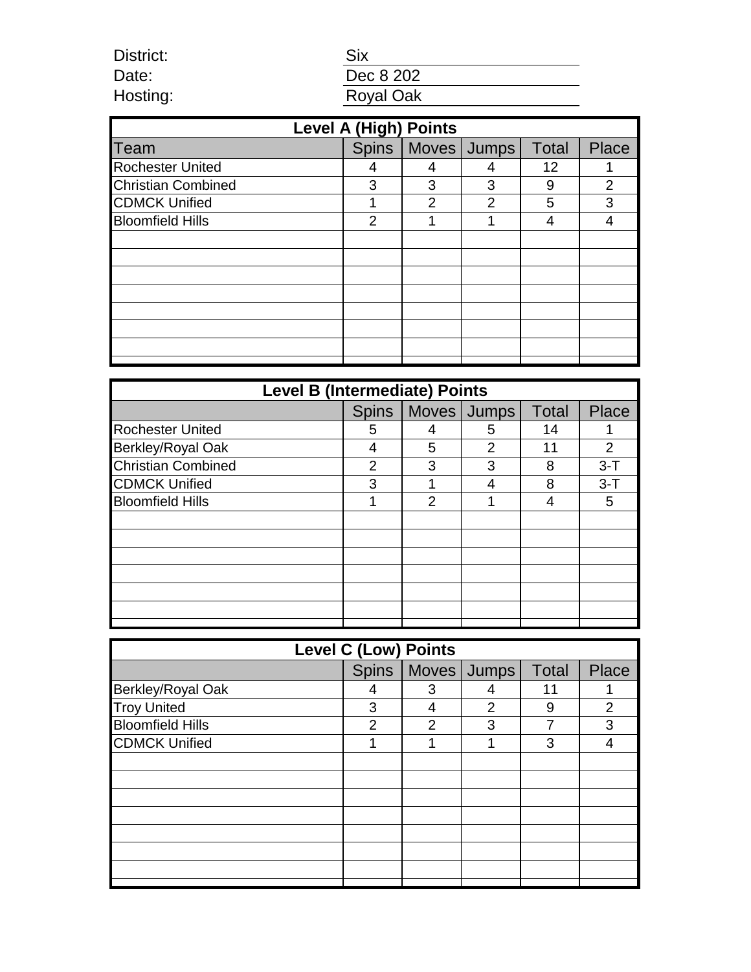| District: |  |
|-----------|--|
| Date:     |  |
| Hosting:  |  |

| Six              |  |
|------------------|--|
| Dec 8 202        |  |
| <b>Royal Oak</b> |  |

| <b>Level A (High) Points</b> |                |                |                       |              |              |
|------------------------------|----------------|----------------|-----------------------|--------------|--------------|
| Team                         |                |                | Spins   Moves   Jumps | <b>Total</b> | <b>Place</b> |
| <b>Rochester United</b>      |                |                |                       | 12           |              |
| <b>Christian Combined</b>    | 3              | 3              | 3                     | 9            | 2            |
| <b>CDMCK Unified</b>         |                | $\overline{2}$ | $\mathfrak{p}$        | 5            | 3            |
| <b>Bloomfield Hills</b>      | $\overline{2}$ |                |                       | 4            |              |
|                              |                |                |                       |              |              |
|                              |                |                |                       |              |              |
|                              |                |                |                       |              |              |
|                              |                |                |                       |              |              |
|                              |                |                |                       |              |              |
|                              |                |                |                       |              |              |
|                              |                |                |                       |              |              |
|                              |                |                |                       |              |              |

| <b>Level B (Intermediate) Points</b> |              |                |                |              |                |
|--------------------------------------|--------------|----------------|----------------|--------------|----------------|
|                                      | <b>Spins</b> |                | Moves Jumps    | <b>Total</b> | <b>Place</b>   |
| <b>Rochester United</b>              | 5            |                | 5              | 14           |                |
| <b>Berkley/Royal Oak</b>             | 4            | 5              | $\overline{2}$ | 11           | $\overline{2}$ |
| <b>Christian Combined</b>            | 2            | 3              | 3              | 8            | $3 - T$        |
| <b>CDMCK Unified</b>                 | 3            |                |                | 8            | $3-T$          |
| <b>Bloomfield Hills</b>              |              | $\overline{2}$ |                | 4            | 5              |
|                                      |              |                |                |              |                |
|                                      |              |                |                |              |                |
|                                      |              |                |                |              |                |
|                                      |              |                |                |              |                |
|                                      |              |                |                |              |                |
|                                      |              |                |                |              |                |
|                                      |              |                |                |              |                |

| <b>Level C (Low) Points</b> |                |                |                       |              |                |
|-----------------------------|----------------|----------------|-----------------------|--------------|----------------|
|                             |                |                | Spins   Moves   Jumps | <b>Total</b> | <b>Place</b>   |
| Berkley/Royal Oak           | 4              | 3              | 4                     | 11           |                |
| <b>Troy United</b>          | 3              | 4              | 2                     | 9            | $\overline{2}$ |
| <b>Bloomfield Hills</b>     | $\overline{2}$ | $\overline{2}$ | 3                     |              | 3              |
| <b>CDMCK Unified</b>        |                |                |                       | 3            | 4              |
|                             |                |                |                       |              |                |
|                             |                |                |                       |              |                |
|                             |                |                |                       |              |                |
|                             |                |                |                       |              |                |
|                             |                |                |                       |              |                |
|                             |                |                |                       |              |                |
|                             |                |                |                       |              |                |
|                             |                |                |                       |              |                |